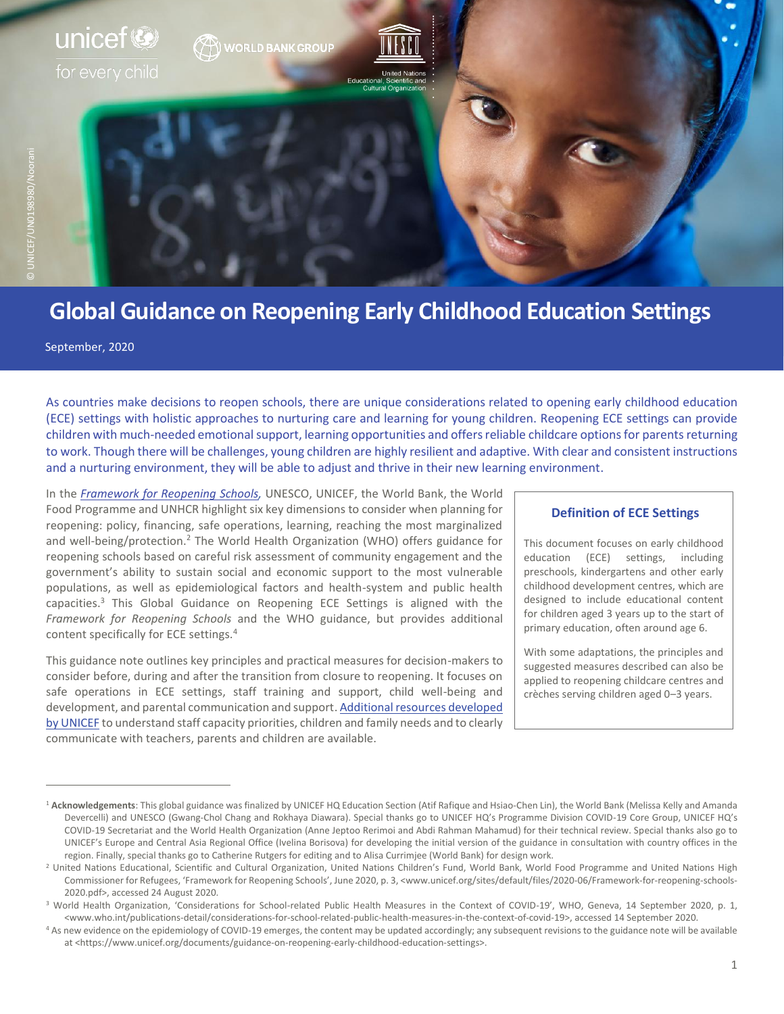

# **Global Guidance on Reopening Early Childhood Education Settings<sup>1</sup>**

September, 2020

As countries make decisions to reopen schools, there are unique considerations related to opening early childhood education (ECE) settings with holistic approaches to nurturing care and learning for young children. Reopening ECE settings can provide children with much-needed emotional support, learning opportunities and offers reliable childcare options for parents returning to work. Though there will be challenges, young children are highly resilient and adaptive. With clear and consistent instructions and a nurturing environment, they will be able to adjust and thrive in their new learning environment.

In the *[Framework for Reopening Schools,](https://www.unicef.org/media/71366/file/Framework-for-reopening-schools-2020.pdf)* UNESCO, UNICEF, the World Bank, the World Food Programme and UNHCR highlight six key dimensions to consider when planning for reopening: policy, financing, safe operations, learning, reaching the most marginalized and well-being/protection.<sup>2</sup> The World Health Organization (WHO) offers guidance for reopening schools based on careful risk assessment of community engagement and the government's ability to sustain social and economic support to the most vulnerable populations, as well as epidemiological factors and health-system and public health capacities.<sup>3</sup> This Global Guidance on Reopening ECE Settings is aligned with the *Framework for Reopening Schools* and the WHO guidance, but provides additional content specifically for ECE settings.<sup>4</sup>

This guidance note outlines key principles and practical measures for decision-makers to consider before, during and after the transition from closure to reopening. It focuses on safe operations in ECE settings, staff training and support, child well-being and development, and parental communication and support. [Additional resources](https://www.unicef.org/documents/guidance-on-reopening-early-childhood-education-settings) developed [by UNICEF](https://www.unicef.org/documents/guidance-on-reopening-early-childhood-education-settings) to understand staff capacity priorities, children and family needs and to clearly communicate with teachers, parents and children are available.

#### **Definition of ECE Settings**

This document focuses on early childhood education (ECE) settings, including preschools, kindergartens and other early childhood development centres, which are designed to include educational content for children aged 3 years up to the start of primary education, often around age 6.

With some adaptations, the principles and suggested measures described can also be applied to reopening childcare centres and crèches serving children aged 0–3 years.

<sup>1</sup> **Acknowledgements**: This global guidance was finalized by UNICEF HQ Education Section (Atif Rafique and Hsiao-Chen Lin), the World Bank (Melissa Kelly and Amanda Devercelli) and UNESCO (Gwang-Chol Chang and Rokhaya Diawara). Special thanks go to UNICEF HQ's Programme Division COVID-19 Core Group, UNICEF HQ's COVID-19 Secretariat and the World Health Organization (Anne Jeptoo Rerimoi and Abdi Rahman Mahamud) for their technical review. Special thanks also go to UNICEF's Europe and Central Asia Regional Office (Ivelina Borisova) for developing the initial version of the guidance in consultation with country offices in the region. Finally, special thanks go to Catherine Rutgers for editing and to Alisa Currimjee (World Bank) for design work.

<sup>&</sup>lt;sup>2</sup> United Nations Educational, Scientific and Cultural Organization, United Nations Children's Fund, World Bank, World Food Programme and United Nations High Commissioner for Refugees, 'Framework for Reopening Schools', June 2020, p. 3, <www.unicef.org/sites/default/files/2020-06/Framework-for-reopening-schools-2020.pdf>, accessed 24 August 2020.

<sup>&</sup>lt;sup>3</sup> World Health Organization, 'Considerations for School-related Public Health Measures in the Context of COVID-19', WHO, Geneva, 14 September 2020, p. 1, <www.who.int/publications-detail/considerations-for-school-related-public-health-measures-in-the-context-of-covid-19>, accessed 14 September 2020.

<sup>4</sup> As new evidence on the epidemiology of COVID-19 emerges, the content may be updated accordingly; any subsequent revisions to the guidance note will be available at <https://www.unicef.org/documents/guidance-on-reopening-early-childhood-education-settings>.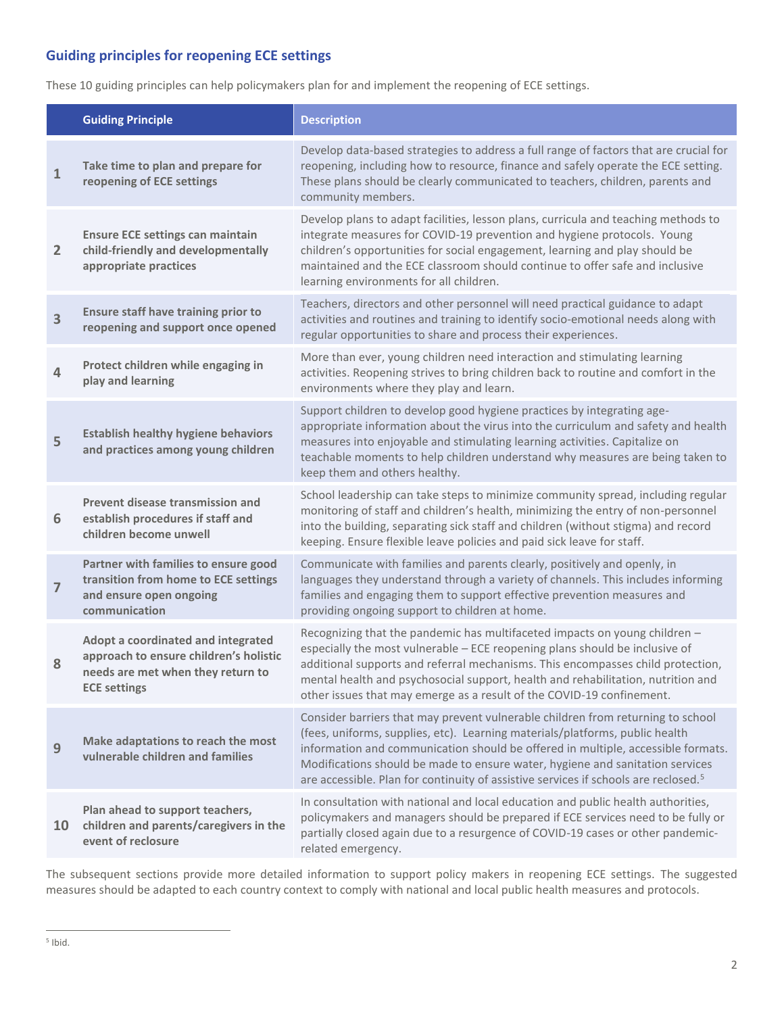# **Guiding principles for reopening ECE settings**

These 10 guiding principles can help policymakers plan for and implement the reopening of ECE settings.

|                | <b>Guiding Principle</b>                                                                                                                 | <b>Description</b>                                                                                                                                                                                                                                                                                                                                                                                                                      |
|----------------|------------------------------------------------------------------------------------------------------------------------------------------|-----------------------------------------------------------------------------------------------------------------------------------------------------------------------------------------------------------------------------------------------------------------------------------------------------------------------------------------------------------------------------------------------------------------------------------------|
| $\mathbf{1}$   | Take time to plan and prepare for<br>reopening of ECE settings                                                                           | Develop data-based strategies to address a full range of factors that are crucial for<br>reopening, including how to resource, finance and safely operate the ECE setting.<br>These plans should be clearly communicated to teachers, children, parents and<br>community members.                                                                                                                                                       |
| $\overline{2}$ | <b>Ensure ECE settings can maintain</b><br>child-friendly and developmentally<br>appropriate practices                                   | Develop plans to adapt facilities, lesson plans, curricula and teaching methods to<br>integrate measures for COVID-19 prevention and hygiene protocols. Young<br>children's opportunities for social engagement, learning and play should be<br>maintained and the ECE classroom should continue to offer safe and inclusive<br>learning environments for all children.                                                                 |
| 3              | <b>Ensure staff have training prior to</b><br>reopening and support once opened                                                          | Teachers, directors and other personnel will need practical guidance to adapt<br>activities and routines and training to identify socio-emotional needs along with<br>regular opportunities to share and process their experiences.                                                                                                                                                                                                     |
| 4              | Protect children while engaging in<br>play and learning                                                                                  | More than ever, young children need interaction and stimulating learning<br>activities. Reopening strives to bring children back to routine and comfort in the<br>environments where they play and learn.                                                                                                                                                                                                                               |
| 5              | <b>Establish healthy hygiene behaviors</b><br>and practices among young children                                                         | Support children to develop good hygiene practices by integrating age-<br>appropriate information about the virus into the curriculum and safety and health<br>measures into enjoyable and stimulating learning activities. Capitalize on<br>teachable moments to help children understand why measures are being taken to<br>keep them and others healthy.                                                                             |
| 6              | Prevent disease transmission and<br>establish procedures if staff and<br>children become unwell                                          | School leadership can take steps to minimize community spread, including regular<br>monitoring of staff and children's health, minimizing the entry of non-personnel<br>into the building, separating sick staff and children (without stigma) and record<br>keeping. Ensure flexible leave policies and paid sick leave for staff.                                                                                                     |
| 7              | Partner with families to ensure good<br>transition from home to ECE settings<br>and ensure open ongoing<br>communication                 | Communicate with families and parents clearly, positively and openly, in<br>languages they understand through a variety of channels. This includes informing<br>families and engaging them to support effective prevention measures and<br>providing ongoing support to children at home.                                                                                                                                               |
| 8              | Adopt a coordinated and integrated<br>approach to ensure children's holistic<br>needs are met when they return to<br><b>ECE settings</b> | Recognizing that the pandemic has multifaceted impacts on young children -<br>especially the most vulnerable - ECE reopening plans should be inclusive of<br>additional supports and referral mechanisms. This encompasses child protection,<br>mental health and psychosocial support, health and rehabilitation, nutrition and<br>other issues that may emerge as a result of the COVID-19 confinement.                               |
| 9              | Make adaptations to reach the most<br>vulnerable children and families                                                                   | Consider barriers that may prevent vulnerable children from returning to school<br>(fees, uniforms, supplies, etc). Learning materials/platforms, public health<br>information and communication should be offered in multiple, accessible formats.<br>Modifications should be made to ensure water, hygiene and sanitation services<br>are accessible. Plan for continuity of assistive services if schools are reclosed. <sup>5</sup> |
| <b>10</b>      | Plan ahead to support teachers,<br>children and parents/caregivers in the<br>event of reclosure                                          | In consultation with national and local education and public health authorities,<br>policymakers and managers should be prepared if ECE services need to be fully or<br>partially closed again due to a resurgence of COVID-19 cases or other pandemic-<br>related emergency.                                                                                                                                                           |

The subsequent sections provide more detailed information to support policy makers in reopening ECE settings. The suggested measures should be adapted to each country context to comply with national and local public health measures and protocols.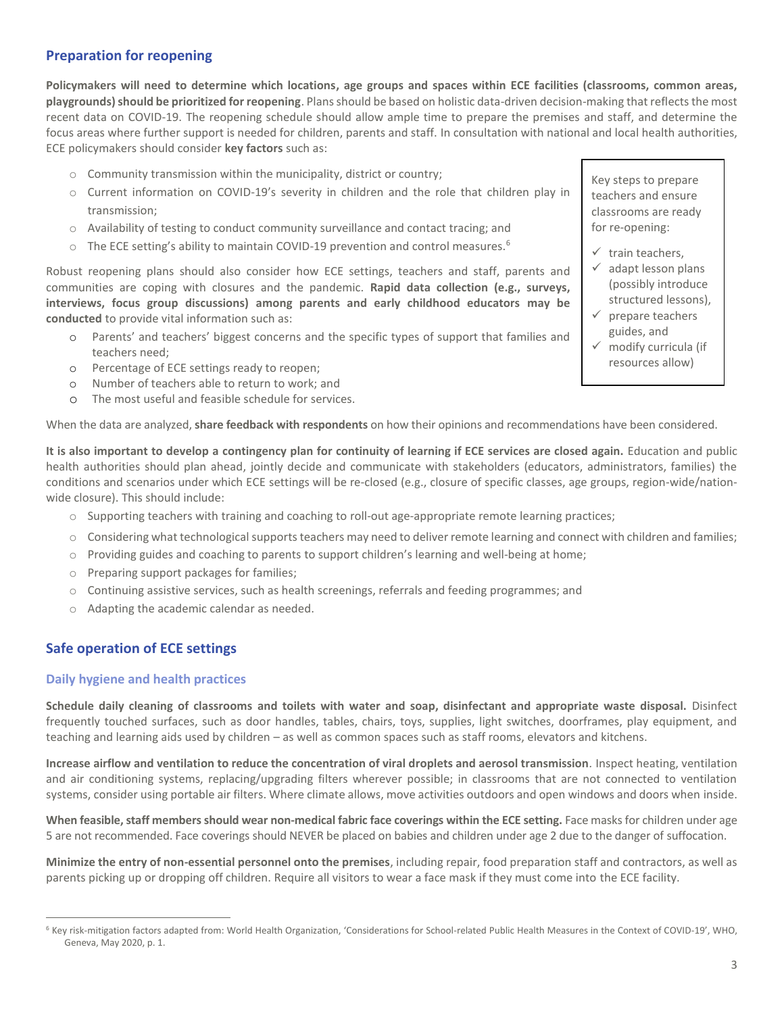# **Preparation for reopening**

**Policymakers will need to determine which locations, age groups and spaces within ECE facilities (classrooms, common areas, playgrounds) should be prioritized for reopening**. Plansshould be based on holistic data-driven decision-making that reflects the most recent data on COVID-19. The reopening schedule should allow ample time to prepare the premises and staff, and determine the focus areas where further support is needed for children, parents and staff. In consultation with national and local health authorities, ECE policymakers should consider **key factors** such as:

- o Community transmission within the municipality, district or country;
- o Current information on COVID-19's severity in children and the role that children play in transmission;
- o Availability of testing to conduct community surveillance and contact tracing; and
- $\circ$  The ECE setting's ability to maintain COVID-19 prevention and control measures.<sup>6</sup>

Robust reopening plans should also consider how ECE settings, teachers and staff, parents and communities are coping with closures and the pandemic. **Rapid data collection (e.g., surveys, interviews, focus group discussions) among parents and early childhood educators may be conducted** to provide vital information such as:

- o Parents' and teachers' biggest concerns and the specific types of support that families and teachers need;
- o Percentage of ECE settings ready to reopen;
- o Number of teachers able to return to work; and
- o The most useful and feasible schedule for services.

When the data are analyzed, **share feedback with respondents** on how their opinions and recommendations have been considered.

**It is also important to develop a contingency plan for continuity of learning if ECE services are closed again.** Education and public health authorities should plan ahead, jointly decide and communicate with stakeholders (educators, administrators, families) the conditions and scenarios under which ECE settings will be re-closed (e.g., closure of specific classes, age groups, region-wide/nationwide closure). This should include:

- o Supporting teachers with training and coaching to roll-out age-appropriate remote learning practices;
- $\circ$  Considering what technological supports teachers may need to deliver remote learning and connect with children and families;
- o Providing guides and coaching to parents to support children's learning and well-being at home;
- o Preparing support packages for families;
- o Continuing assistive services, such as health screenings, referrals and feeding programmes; and
- o Adapting the academic calendar as needed.

# **Safe operation of ECE settings**

## **Daily hygiene and health practices**

**Schedule daily cleaning of classrooms and toilets with water and soap, disinfectant and appropriate waste disposal.** Disinfect frequently touched surfaces, such as door handles, tables, chairs, toys, supplies, light switches, doorframes, play equipment, and teaching and learning aids used by children – as well as common spaces such as staff rooms, elevators and kitchens.

**Increase airflow and ventilation to reduce the concentration of viral droplets and aerosol transmission***.* Inspect heating, ventilation and air conditioning systems, replacing/upgrading filters wherever possible; in classrooms that are not connected to ventilation systems, consider using portable air filters. Where climate allows, move activities outdoors and open windows and doors when inside.

**When feasible, staff members should wear non-medical fabric face coverings within the ECE setting.** Face masks for children under age 5 are not recommended. Face coverings should NEVER be placed on babies and children under age 2 due to the danger of suffocation.

**Minimize the entry of non-essential personnel onto the premises**, including repair, food preparation staff and contractors, as well as parents picking up or dropping off children. Require all visitors to wear a face mask if they must come into the ECE facility.

Key steps to prepare teachers and ensure classrooms are ready for re-opening:

- ✓ train teachers,
- $\checkmark$  adapt lesson plans (possibly introduce structured lessons),
- ✓ prepare teachers guides, and
- $\checkmark$  modify curricula (if resources allow)

<sup>6</sup> Key risk-mitigation factors adapted from: World Health Organization, 'Considerations for School-related Public Health Measures in the Context of COVID-19', WHO, Geneva, May 2020, p. 1.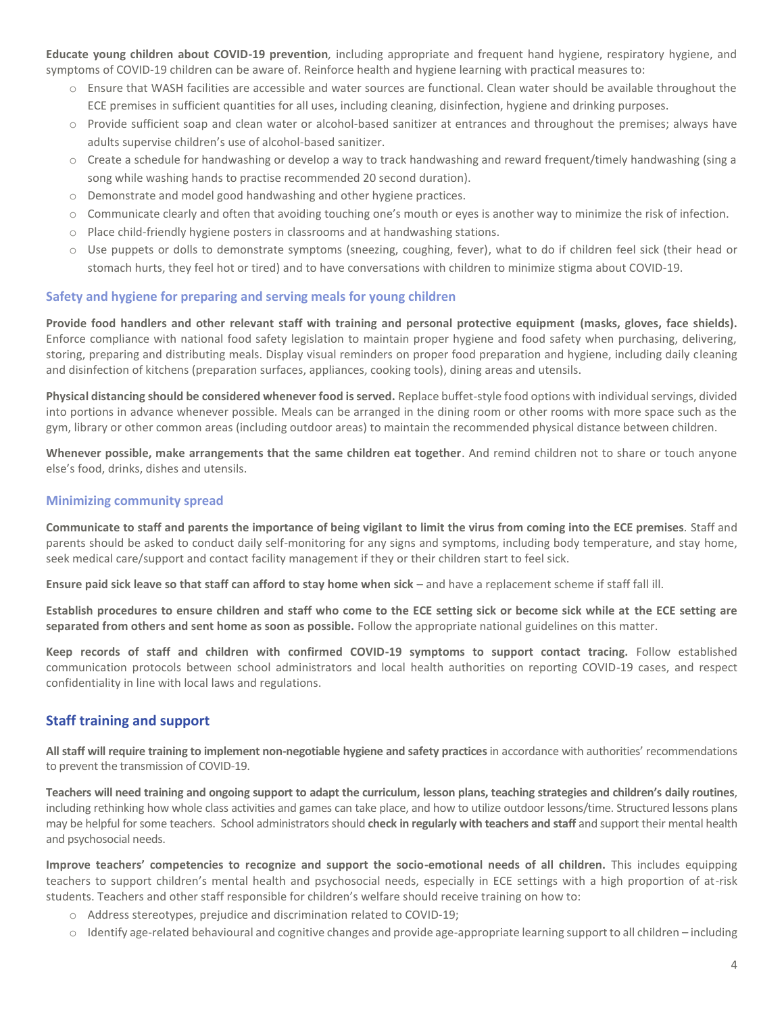**Educate young children about COVID-19 prevention***,* including appropriate and frequent hand hygiene, respiratory hygiene, and symptoms of COVID-19 children can be aware of. Reinforce health and hygiene learning with practical measures to:

- o Ensure that WASH facilities are accessible and water sources are functional. Clean water should be available throughout the ECE premises in sufficient quantities for all uses, including cleaning, disinfection, hygiene and drinking purposes.
- o Provide sufficient soap and clean water or alcohol-based sanitizer at entrances and throughout the premises; always have adults supervise children's use of alcohol-based sanitizer.
- o Create a schedule for handwashing or develop a way to track handwashing and reward frequent/timely handwashing (sing a song while washing hands to practise recommended 20 second duration).
- o Demonstrate and model good handwashing and other hygiene practices.
- o Communicate clearly and often that avoiding touching one's mouth or eyes is another way to minimize the risk of infection.
- o Place child-friendly hygiene posters in classrooms and at handwashing stations.
- o Use puppets or dolls to demonstrate symptoms (sneezing, coughing, fever), what to do if children feel sick (their head or stomach hurts, they feel hot or tired) and to have conversations with children to minimize stigma about COVID-19.

## **Safety and hygiene for preparing and serving meals for young children**

**Provide food handlers and other relevant staff with training and personal protective equipment (masks, gloves, face shields).** Enforce compliance with national food safety legislation to maintain proper hygiene and food safety when purchasing, delivering, storing, preparing and distributing meals. Display visual reminders on proper food preparation and hygiene, including daily cleaning and disinfection of kitchens (preparation surfaces, appliances, cooking tools), dining areas and utensils.

**Physical distancing should be considered whenever food is served.** Replace buffet-style food options with individual servings, divided into portions in advance whenever possible. Meals can be arranged in the dining room or other rooms with more space such as the gym, library or other common areas (including outdoor areas) to maintain the recommended physical distance between children.

**Whenever possible, make arrangements that the same children eat together**. And remind children not to share or touch anyone else's food, drinks, dishes and utensils.

## **Minimizing community spread**

**Communicate to staff and parents the importance of being vigilant to limit the virus from coming into the ECE premises***.* Staff and parents should be asked to conduct daily self-monitoring for any signs and symptoms, including body temperature, and stay home, seek medical care/support and contact facility management if they or their children start to feel sick.

**Ensure paid sick leave so that staff can afford to stay home when sick** – and have a replacement scheme if staff fall ill.

**Establish procedures to ensure children and staff who come to the ECE setting sick or become sick while at the ECE setting are separated from others and sent home as soon as possible.** Follow the appropriate national guidelines on this matter.

**Keep records of staff and children with confirmed COVID-19 symptoms to support contact tracing.** Follow established communication protocols between school administrators and local health authorities on reporting COVID-19 cases, and respect confidentiality in line with local laws and regulations.

## **Staff training and support**

**All staff will require training to implement non-negotiable hygiene and safety practices**in accordance with authorities' recommendations to prevent the transmission of COVID-19.

**Teachers will need training and ongoing support to adapt the curriculum, lesson plans, teaching strategies and children's daily routines**, including rethinking how whole class activities and games can take place, and how to utilize outdoor lessons/time. Structured lessons plans may be helpful for some teachers. School administrators should **check in regularly with teachers and staff** and support their mental health and psychosocial needs.

**Improve teachers' competencies to recognize and support the socio-emotional needs of all children.** This includes equipping teachers to support children's mental health and psychosocial needs, especially in ECE settings with a high proportion of at-risk students. Teachers and other staff responsible for children's welfare should receive training on how to:

- o Address stereotypes, prejudice and discrimination related to COVID-19;
- $\circ$  Identify age-related behavioural and cognitive changes and provide age-appropriate learning support to all children including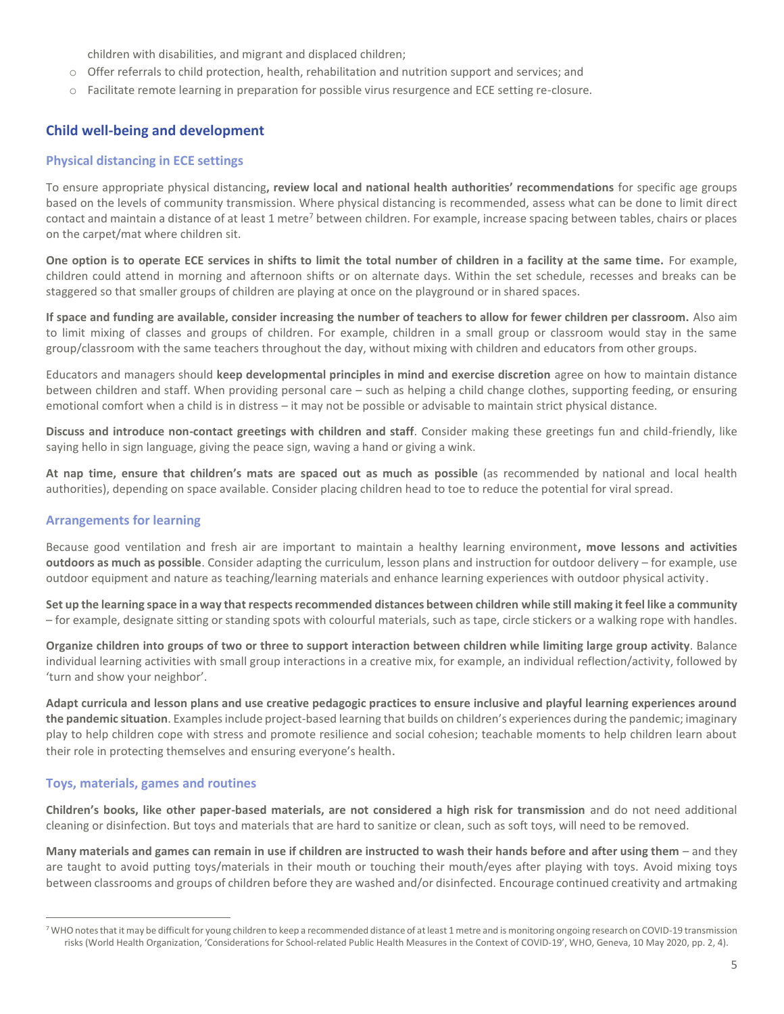children with disabilities, and migrant and displaced children;

- o Offer referrals to child protection, health, rehabilitation and nutrition support and services; and
- o Facilitate remote learning in preparation for possible virus resurgence and ECE setting re-closure.

# **Child well-being and development**

#### **Physical distancing in ECE settings**

To ensure appropriate physical distancing**, review local and national health authorities' recommendations** for specific age groups based on the levels of community transmission. Where physical distancing is recommended, assess what can be done to limit direct contact and maintain a distance of at least 1 metre<sup>7</sup> between children. For example, increase spacing between tables, chairs or places on the carpet/mat where children sit.

**One option is to operate ECE services in shifts to limit the total number of children in a facility at the same time.** For example, children could attend in morning and afternoon shifts or on alternate days. Within the set schedule, recesses and breaks can be staggered so that smaller groups of children are playing at once on the playground or in shared spaces.

**If space and funding are available, consider increasing the number of teachers to allow for fewer children per classroom.** Also aim to limit mixing of classes and groups of children. For example, children in a small group or classroom would stay in the same group/classroom with the same teachers throughout the day, without mixing with children and educators from other groups.

Educators and managers should **keep developmental principles in mind and exercise discretion** agree on how to maintain distance between children and staff. When providing personal care – such as helping a child change clothes, supporting feeding, or ensuring emotional comfort when a child is in distress – it may not be possible or advisable to maintain strict physical distance.

**Discuss and introduce non-contact greetings with children and staff**. Consider making these greetings fun and child-friendly, like saying hello in sign language, giving the peace sign, waving a hand or giving a wink.

**At nap time, ensure that children's mats are spaced out as much as possible** (as recommended by national and local health authorities), depending on space available. Consider placing children head to toe to reduce the potential for viral spread.

## **Arrangements for learning**

Because good ventilation and fresh air are important to maintain a healthy learning environment**, move lessons and activities outdoors as much as possible**. Consider adapting the curriculum, lesson plans and instruction for outdoor delivery – for example, use outdoor equipment and nature as teaching/learning materials and enhance learning experiences with outdoor physical activity.

**Set up the learning space in a way that respects recommended distances between children while still making it feel like a community**  – for example, designate sitting or standing spots with colourful materials, such as tape, circle stickers or a walking rope with handles.

**Organize children into groups of two or three to support interaction between children while limiting large group activity**. Balance individual learning activities with small group interactions in a creative mix, for example, an individual reflection/activity, followed by 'turn and show your neighbor'.

**Adapt curricula and lesson plans and use creative pedagogic practices to ensure inclusive and playful learning experiences around the pandemic situation**. Examples include project-based learning that builds on children's experiences during the pandemic; imaginary play to help children cope with stress and promote resilience and social cohesion; teachable moments to help children learn about their role in protecting themselves and ensuring everyone's health.

## **Toys, materials, games and routines**

**Children's books, like other paper-based materials, are not considered a high risk for transmission** and do not need additional cleaning or disinfection. But toys and materials that are hard to sanitize or clean, such as soft toys, will need to be removed.

**Many materials and games can remain in use if children are instructed to wash their hands before and after using them** – and they are taught to avoid putting toys/materials in their mouth or touching their mouth/eyes after playing with toys. Avoid mixing toys between classrooms and groups of children before they are washed and/or disinfected. Encourage continued creativity and artmaking

<sup>&</sup>lt;sup>7</sup> WHO notes that it may be difficult for young children to keep a recommended distance of at least 1 metre and is monitoring ongoing research on COVID-19 transmission risks (World Health Organization, 'Considerations for School-related Public Health Measures in the Context of COVID-19', WHO, Geneva, 10 May 2020, pp. 2, 4).